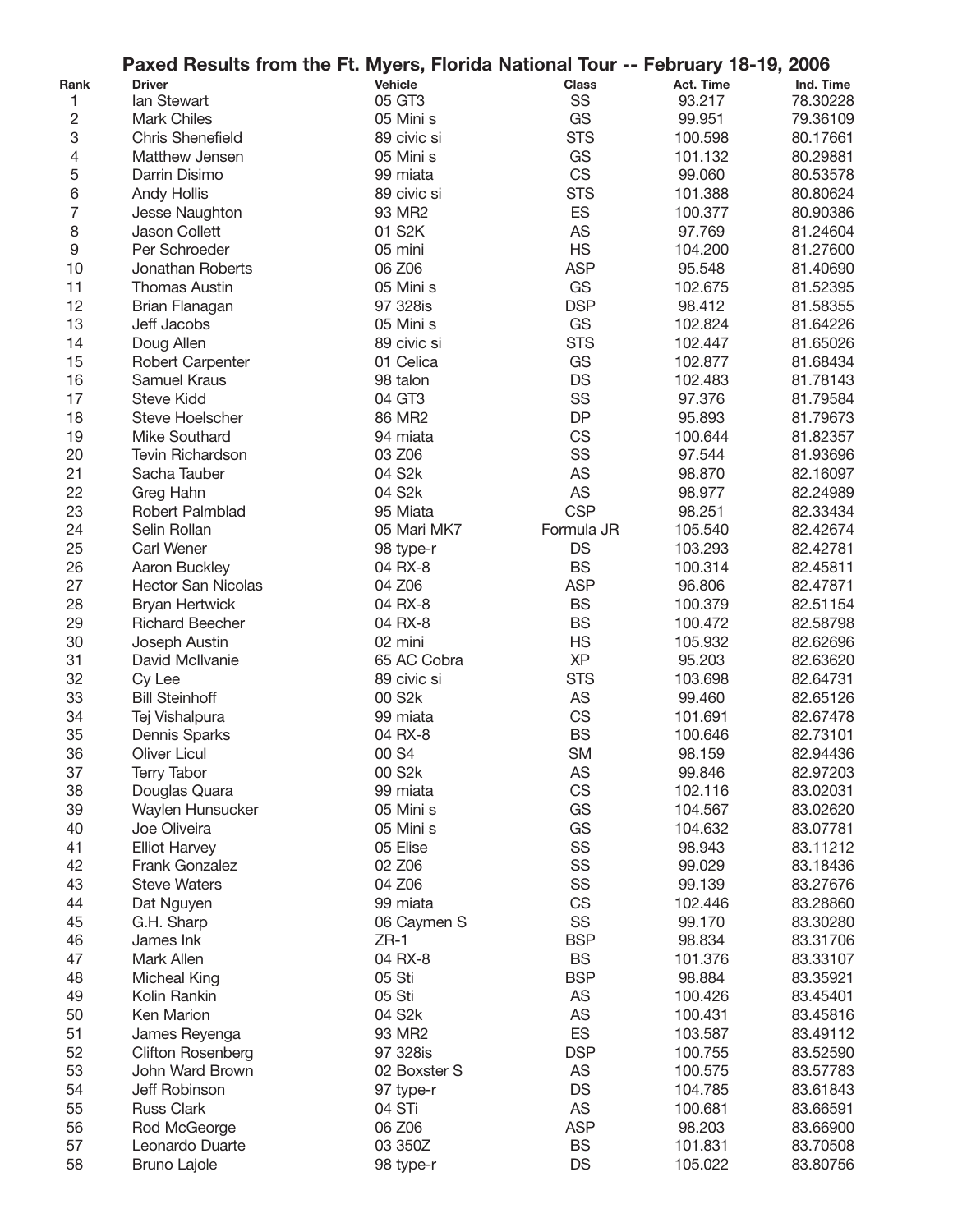|                  | Paxed Results from the Ft. Myers, Florida National Tour -- February 18-19, 2006 |                     |              |           |           |
|------------------|---------------------------------------------------------------------------------|---------------------|--------------|-----------|-----------|
| Rank             | <b>Driver</b>                                                                   | Vehicle             | <b>Class</b> | Act. Time | Ind. Time |
| 1                | lan Stewart                                                                     | 05 GT3              | SS           | 93.217    | 78.30228  |
| 2                | <b>Mark Chiles</b>                                                              | 05 Mini s           | GS           | 99.951    | 79.36109  |
| 3                | <b>Chris Shenefield</b>                                                         | 89 civic si         | <b>STS</b>   | 100.598   | 80.17661  |
| 4                | Matthew Jensen                                                                  | 05 Mini s           | GS           | 101.132   | 80.29881  |
| 5                | Darrin Disimo                                                                   | 99 miata            | <b>CS</b>    | 99.060    | 80.53578  |
| 6                | <b>Andy Hollis</b>                                                              | 89 civic si         | <b>STS</b>   | 101.388   | 80.80624  |
| $\overline{7}$   | Jesse Naughton                                                                  | 93 MR2              | ES           | 100.377   | 80.90386  |
| 8                | Jason Collett                                                                   | 01 S2K              | <b>AS</b>    | 97.769    | 81.24604  |
| $\boldsymbol{9}$ | Per Schroeder                                                                   | 05 mini             | <b>HS</b>    | 104.200   | 81.27600  |
| 10               | Jonathan Roberts                                                                | 06 Z06              | <b>ASP</b>   | 95.548    | 81.40690  |
| 11               | <b>Thomas Austin</b>                                                            | 05 Mini s           | GS           | 102.675   | 81.52395  |
| 12               | Brian Flanagan                                                                  | 97 328is            | <b>DSP</b>   | 98.412    | 81.58355  |
| 13               | Jeff Jacobs                                                                     | 05 Mini s           | GS           | 102.824   | 81.64226  |
| 14               | Doug Allen                                                                      | 89 civic si         | <b>STS</b>   | 102.447   | 81.65026  |
| 15               | <b>Robert Carpenter</b>                                                         | 01 Celica           | GS           | 102.877   | 81.68434  |
| 16               | Samuel Kraus                                                                    | 98 talon            | <b>DS</b>    | 102.483   | 81.78143  |
| 17               | <b>Steve Kidd</b>                                                               |                     | SS           |           |           |
|                  |                                                                                 | 04 GT3              | <b>DP</b>    | 97.376    | 81.79584  |
| 18               | Steve Hoelscher                                                                 | 86 MR2              |              | 95.893    | 81.79673  |
| 19               | Mike Southard                                                                   | 94 miata            | <b>CS</b>    | 100.644   | 81.82357  |
| 20               | <b>Tevin Richardson</b>                                                         | 03 Z06              | SS           | 97.544    | 81.93696  |
| 21               | Sacha Tauber                                                                    | 04 S2k              | <b>AS</b>    | 98.870    | 82.16097  |
| 22               | Greg Hahn                                                                       | 04 S2k              | AS           | 98.977    | 82.24989  |
| 23               | Robert Palmblad                                                                 | 95 Miata            | <b>CSP</b>   | 98.251    | 82.33434  |
| 24               | Selin Rollan                                                                    | 05 Mari MK7         | Formula JR   | 105.540   | 82.42674  |
| 25               | Carl Wener                                                                      | 98 type-r           | DS           | 103.293   | 82.42781  |
| 26               | Aaron Buckley                                                                   | 04 RX-8             | <b>BS</b>    | 100.314   | 82.45811  |
| 27               | <b>Hector San Nicolas</b>                                                       | 04 Z06              | <b>ASP</b>   | 96.806    | 82.47871  |
| 28               | <b>Bryan Hertwick</b>                                                           | 04 RX-8             | <b>BS</b>    | 100.379   | 82.51154  |
| 29               | <b>Richard Beecher</b>                                                          | 04 RX-8             | <b>BS</b>    | 100.472   | 82.58798  |
| 30               | Joseph Austin                                                                   | 02 mini             | <b>HS</b>    | 105.932   | 82.62696  |
| 31               | David McIlvanie                                                                 | 65 AC Cobra         | <b>XP</b>    | 95.203    | 82.63620  |
| 32               | Cy Lee                                                                          | 89 civic si         | <b>STS</b>   | 103.698   | 82.64731  |
| 33               | <b>Bill Steinhoff</b>                                                           | 00 S <sub>2</sub> k | AS           | 99.460    | 82.65126  |
| 34               | Tej Vishalpura                                                                  | 99 miata            | <b>CS</b>    | 101.691   | 82.67478  |
| 35               | Dennis Sparks                                                                   | 04 RX-8             | <b>BS</b>    | 100.646   | 82.73101  |
| 36               | <b>Oliver Licul</b>                                                             | 00 S4               | <b>SM</b>    | 98.159    | 82.94436  |
| 37               | <b>Terry Tabor</b>                                                              | 00 S <sub>2</sub> k | AS           | 99.846    | 82.97203  |
| 38               | Douglas Quara                                                                   | 99 miata            | CS           | 102.116   | 83.02031  |
| 39               | Waylen Hunsucker                                                                | 05 Mini s           | GS           | 104.567   | 83.02620  |
| 40               | Joe Oliveira                                                                    | 05 Mini s           | GS           | 104.632   | 83.07781  |
| 41               | <b>Elliot Harvey</b>                                                            | 05 Elise            | SS           | 98.943    | 83.11212  |
| 42               | <b>Frank Gonzalez</b>                                                           | 02 Z06              | SS           | 99.029    | 83.18436  |
| 43               | <b>Steve Waters</b>                                                             | 04 Z06              | SS           | 99.139    | 83.27676  |
| 44               | Dat Nguyen                                                                      | 99 miata            | <b>CS</b>    | 102.446   | 83.28860  |
| 45               | G.H. Sharp                                                                      | 06 Caymen S         | SS           | 99.170    | 83.30280  |
| 46               | James Ink                                                                       | $ZR-1$              | <b>BSP</b>   | 98.834    | 83.31706  |
| 47               | Mark Allen                                                                      | 04 RX-8             | <b>BS</b>    | 101.376   | 83.33107  |
| 48               | <b>Micheal King</b>                                                             | 05 Sti              | <b>BSP</b>   | 98.884    | 83.35921  |
| 49               | Kolin Rankin                                                                    | 05 Sti              | AS           | 100.426   | 83.45401  |
| 50               | Ken Marion                                                                      | 04 S <sub>2</sub> k | <b>AS</b>    | 100.431   |           |
|                  |                                                                                 |                     |              |           | 83.45816  |
| 51               | James Reyenga                                                                   | 93 MR2              | ES           | 103.587   | 83.49112  |
| 52               | <b>Clifton Rosenberg</b>                                                        | 97 328is            | <b>DSP</b>   | 100.755   | 83.52590  |
| 53               | John Ward Brown                                                                 | 02 Boxster S        | AS           | 100.575   | 83.57783  |
| 54               | Jeff Robinson                                                                   | 97 type-r           | DS           | 104.785   | 83.61843  |
| 55               | <b>Russ Clark</b>                                                               | 04 STi              | AS           | 100.681   | 83.66591  |
| 56               | Rod McGeorge                                                                    | 06 Z06              | <b>ASP</b>   | 98.203    | 83.66900  |
| 57               | Leonardo Duarte                                                                 | 03 350Z             | <b>BS</b>    | 101.831   | 83.70508  |
| 58               | <b>Bruno Lajole</b>                                                             | 98 type-r           | <b>DS</b>    | 105.022   | 83.80756  |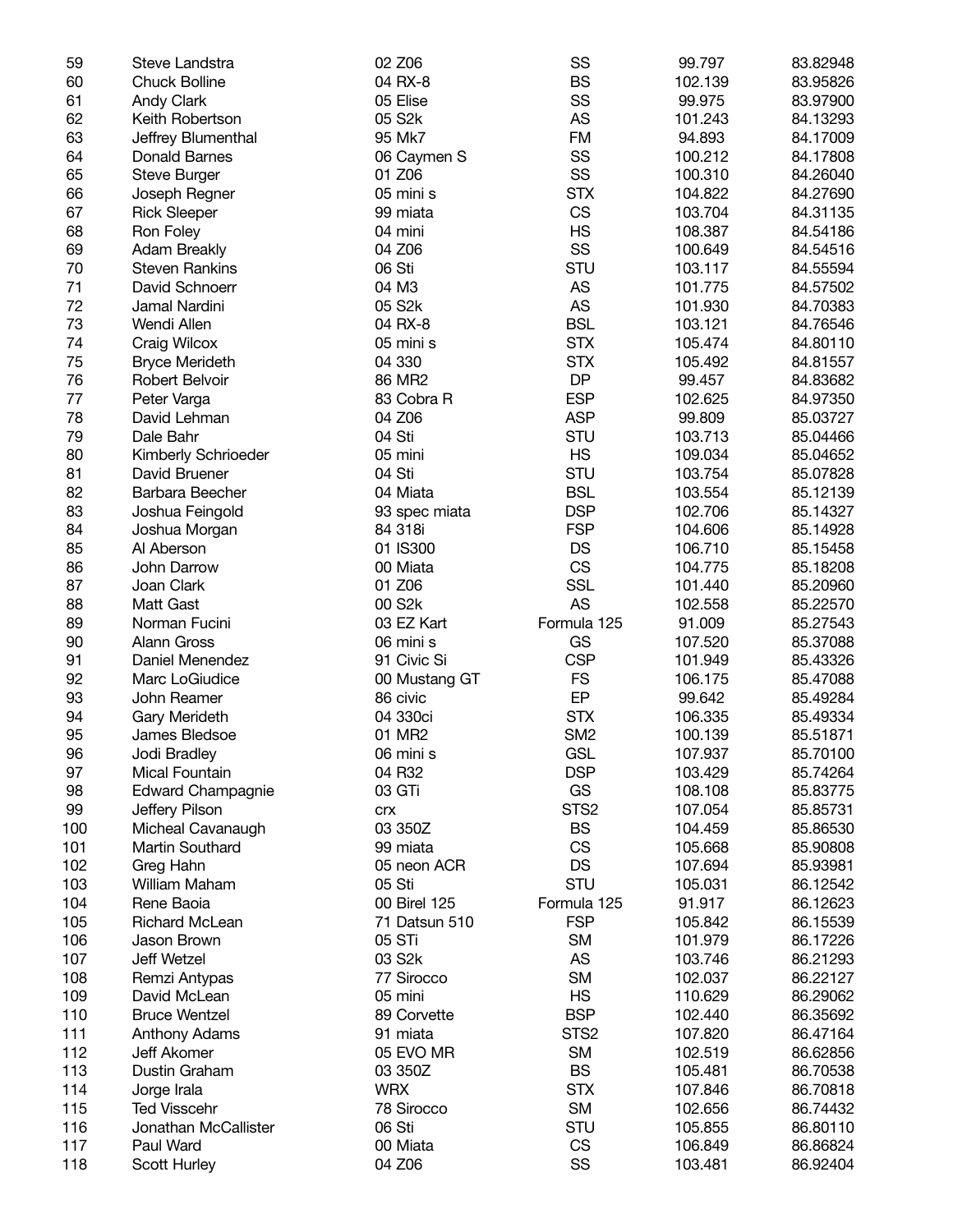| 59  | Steve Landstra           | 02 Z06              | SS               | 99.797  | 83.82948 |
|-----|--------------------------|---------------------|------------------|---------|----------|
| 60  | <b>Chuck Bolline</b>     | 04 RX-8             | <b>BS</b>        | 102.139 | 83.95826 |
| 61  | <b>Andy Clark</b>        | 05 Elise            | SS               | 99.975  | 83.97900 |
| 62  | Keith Robertson          | 05 S2k              | AS               | 101.243 | 84.13293 |
| 63  | Jeffrey Blumenthal       | 95 Mk7              | <b>FM</b>        | 94.893  | 84.17009 |
| 64  | <b>Donald Barnes</b>     | 06 Caymen S         | SS               | 100.212 | 84.17808 |
| 65  | Steve Burger             | 01 Z06              | SS               | 100.310 | 84.26040 |
| 66  | Joseph Regner            | 05 mini s           | <b>STX</b>       | 104.822 | 84.27690 |
| 67  | <b>Rick Sleeper</b>      | 99 miata            | CS               | 103.704 | 84.31135 |
| 68  | Ron Foley                | 04 mini             | <b>HS</b>        | 108.387 | 84.54186 |
| 69  | <b>Adam Breakly</b>      | 04 Z06              | SS               | 100.649 | 84.54516 |
| 70  | <b>Steven Rankins</b>    | 06 Sti              | STU              | 103.117 | 84.55594 |
| 71  | David Schnoerr           | 04 M3               | AS               | 101.775 | 84.57502 |
| 72  | Jamal Nardini            | 05 S <sub>2</sub> k | AS               | 101.930 | 84.70383 |
| 73  | Wendi Allen              | 04 RX-8             | <b>BSL</b>       |         |          |
|     |                          |                     |                  | 103.121 | 84.76546 |
| 74  | Craig Wilcox             | 05 mini s           | <b>STX</b>       | 105.474 | 84.80110 |
| 75  | <b>Bryce Merideth</b>    | 04 330              | <b>STX</b>       | 105.492 | 84.81557 |
| 76  | Robert Belvoir           | 86 MR2              | <b>DP</b>        | 99.457  | 84.83682 |
| 77  | Peter Varga              | 83 Cobra R          | <b>ESP</b>       | 102.625 | 84.97350 |
| 78  | David Lehman             | 04 Z06              | <b>ASP</b>       | 99.809  | 85.03727 |
| 79  | Dale Bahr                | 04 Sti              | STU              | 103.713 | 85.04466 |
| 80  | Kimberly Schrioeder      | 05 mini             | <b>HS</b>        | 109.034 | 85.04652 |
| 81  | David Bruener            | 04 Sti              | STU              | 103.754 | 85.07828 |
| 82  | Barbara Beecher          | 04 Miata            | <b>BSL</b>       | 103.554 | 85.12139 |
| 83  | Joshua Feingold          | 93 spec miata       | <b>DSP</b>       | 102.706 | 85.14327 |
| 84  | Joshua Morgan            | 84 318i             | <b>FSP</b>       | 104.606 | 85.14928 |
| 85  | Al Aberson               | 01 IS300            | <b>DS</b>        | 106.710 | 85.15458 |
| 86  | John Darrow              | 00 Miata            | CS               | 104.775 | 85.18208 |
| 87  | Joan Clark               | 01 Z06              | <b>SSL</b>       | 101.440 | 85.20960 |
| 88  | Matt Gast                | 00 S2k              | <b>AS</b>        | 102.558 | 85.22570 |
| 89  | Norman Fucini            | 03 EZ Kart          | Formula 125      | 91.009  | 85.27543 |
| 90  | <b>Alann Gross</b>       | 06 mini s           | GS               | 107.520 | 85.37088 |
| 91  | Daniel Menendez          | 91 Civic Si         | <b>CSP</b>       | 101.949 | 85.43326 |
| 92  | Marc LoGiudice           | 00 Mustang GT       | <b>FS</b>        | 106.175 | 85.47088 |
| 93  | John Reamer              | 86 civic            | EP               | 99.642  | 85.49284 |
| 94  | Gary Merideth            | 04 330ci            | <b>STX</b>       | 106.335 | 85.49334 |
| 95  | James Bledsoe            | 01 MR2              | SM <sub>2</sub>  | 100.139 | 85.51871 |
| 96  | Jodi Bradley             | 06 mini s           | <b>GSL</b>       | 107.937 | 85.70100 |
| 97  | Mical Fountain           | 04 R32              | <b>DSP</b>       | 103.429 | 85.74264 |
| 98  | <b>Edward Champagnie</b> | 03 GTi              | GS               | 108.108 | 85.83775 |
| 99  | Jeffery Pilson           | <b>Crx</b>          | STS <sub>2</sub> | 107.054 | 85.85731 |
| 100 | Micheal Cavanaugh        | 03 350Z             | <b>BS</b>        | 104.459 | 85.86530 |
| 101 | Martin Southard          | 99 miata            | <b>CS</b>        | 105.668 | 85.90808 |
| 102 | Greg Hahn                | 05 neon ACR         | DS               | 107.694 | 85.93981 |
| 103 | William Maham            | 05 Sti              | STU              | 105.031 | 86.12542 |
| 104 | Rene Baoia               | 00 Birel 125        | Formula 125      | 91.917  | 86.12623 |
|     | <b>Richard McLean</b>    | 71 Datsun 510       | <b>FSP</b>       |         |          |
| 105 |                          |                     |                  | 105.842 | 86.15539 |
| 106 | Jason Brown              | 05 STi              | <b>SM</b>        | 101.979 | 86.17226 |
| 107 | Jeff Wetzel              | 03 S2k              | AS               | 103.746 | 86.21293 |
| 108 | Remzi Antypas            | 77 Sirocco          | <b>SM</b>        | 102.037 | 86.22127 |
| 109 | David McLean             | 05 mini             | <b>HS</b>        | 110.629 | 86.29062 |
| 110 | <b>Bruce Wentzel</b>     | 89 Corvette         | <b>BSP</b>       | 102.440 | 86.35692 |
| 111 | Anthony Adams            | 91 miata            | STS <sub>2</sub> | 107.820 | 86.47164 |
| 112 | Jeff Akomer              | 05 EVO MR           | <b>SM</b>        | 102.519 | 86.62856 |
| 113 | Dustin Graham            | 03 350Z             | <b>BS</b>        | 105.481 | 86.70538 |
| 114 | Jorge Irala              | <b>WRX</b>          | <b>STX</b>       | 107.846 | 86.70818 |
| 115 | <b>Ted Visscehr</b>      | 78 Sirocco          | <b>SM</b>        | 102.656 | 86.74432 |
| 116 | Jonathan McCallister     | 06 Sti              | STU              | 105.855 | 86.80110 |
| 117 | Paul Ward                | 00 Miata            | <b>CS</b>        | 106.849 | 86.86824 |
| 118 | Scott Hurley             | 04 Z06              | SS               | 103.481 | 86.92404 |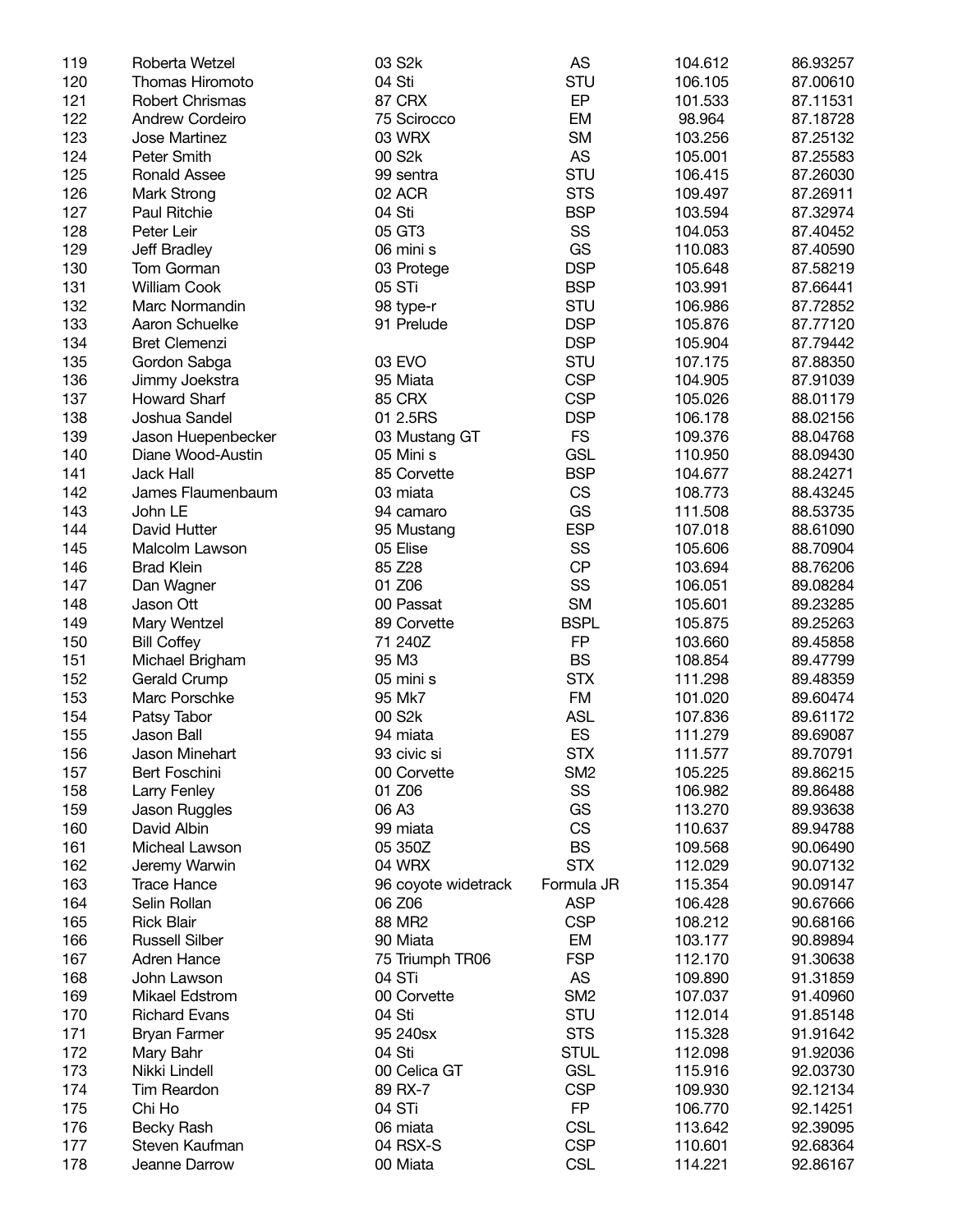| 119 | Roberta Wetzel         | 03 S <sub>2</sub> k | AS              | 104.612 | 86.93257 |
|-----|------------------------|---------------------|-----------------|---------|----------|
| 120 | Thomas Hiromoto        | 04 Sti              | <b>STU</b>      | 106.105 | 87.00610 |
| 121 | Robert Chrismas        | 87 CRX              | EP              | 101.533 | 87.11531 |
| 122 | <b>Andrew Cordeiro</b> | 75 Scirocco         | EM              | 98.964  | 87.18728 |
| 123 | Jose Martinez          | 03 WRX              | <b>SM</b>       | 103.256 | 87.25132 |
| 124 | Peter Smith            | 00 S <sub>2</sub> k | <b>AS</b>       | 105.001 | 87.25583 |
| 125 | Ronald Assee           | 99 sentra           | <b>STU</b>      | 106.415 | 87.26030 |
| 126 | Mark Strong            | 02 ACR              | <b>STS</b>      | 109.497 | 87.26911 |
| 127 | Paul Ritchie           | 04 Sti              | <b>BSP</b>      | 103.594 | 87.32974 |
| 128 | Peter Leir             | 05 GT3              | SS              | 104.053 | 87.40452 |
|     |                        |                     | GS              |         |          |
| 129 | Jeff Bradley           | 06 mini s           |                 | 110.083 | 87.40590 |
| 130 | Tom Gorman             | 03 Protege          | <b>DSP</b>      | 105.648 | 87.58219 |
| 131 | <b>William Cook</b>    | 05 STi              | <b>BSP</b>      | 103.991 | 87.66441 |
| 132 | Marc Normandin         | 98 type-r           | <b>STU</b>      | 106.986 | 87.72852 |
| 133 | Aaron Schuelke         | 91 Prelude          | <b>DSP</b>      | 105.876 | 87.77120 |
| 134 | <b>Bret Clemenzi</b>   |                     | <b>DSP</b>      | 105.904 | 87.79442 |
| 135 | Gordon Sabga           | 03 EVO              | <b>STU</b>      | 107.175 | 87.88350 |
| 136 | Jimmy Joekstra         | 95 Miata            | <b>CSP</b>      | 104.905 | 87.91039 |
| 137 | Howard Sharf           | <b>85 CRX</b>       | <b>CSP</b>      | 105.026 | 88.01179 |
| 138 | Joshua Sandel          | 01 2.5RS            | <b>DSP</b>      | 106.178 | 88.02156 |
| 139 | Jason Huepenbecker     | 03 Mustang GT       | <b>FS</b>       | 109.376 | 88.04768 |
| 140 | Diane Wood-Austin      | 05 Mini s           | <b>GSL</b>      | 110.950 | 88.09430 |
| 141 | Jack Hall              | 85 Corvette         | <b>BSP</b>      | 104.677 | 88.24271 |
| 142 | James Flaumenbaum      | 03 miata            | <b>CS</b>       | 108.773 | 88.43245 |
| 143 | John LE                | 94 camaro           | GS              | 111.508 | 88.53735 |
| 144 | David Hutter           | 95 Mustang          | <b>ESP</b>      | 107.018 | 88.61090 |
|     |                        |                     | SS              |         |          |
| 145 | Malcolm Lawson         | 05 Elise            |                 | 105.606 | 88.70904 |
| 146 | <b>Brad Klein</b>      | 85 Z28              | <b>CP</b>       | 103.694 | 88.76206 |
| 147 | Dan Wagner             | 01 Z06              | SS              | 106.051 | 89.08284 |
| 148 | Jason Ott              | 00 Passat           | <b>SM</b>       | 105.601 | 89.23285 |
| 149 | Mary Wentzel           | 89 Corvette         | <b>BSPL</b>     | 105.875 | 89.25263 |
| 150 | <b>Bill Coffey</b>     | 71 240Z             | FP              | 103.660 | 89.45858 |
| 151 | Michael Brigham        | 95 M3               | <b>BS</b>       | 108.854 | 89.47799 |
| 152 | Gerald Crump           | 05 mini s           | <b>STX</b>      | 111.298 | 89.48359 |
| 153 | Marc Porschke          | 95 Mk7              | <b>FM</b>       | 101.020 | 89.60474 |
| 154 | Patsy Tabor            | 00 S <sub>2</sub> k | <b>ASL</b>      | 107.836 | 89.61172 |
| 155 | Jason Ball             | 94 miata            | ES              | 111.279 | 89.69087 |
| 156 | Jason Minehart         | 93 civic si         | <b>STX</b>      | 111.577 | 89.70791 |
| 157 | Bert Foschini          | 00 Corvette         | SM <sub>2</sub> | 105.225 | 89.86215 |
| 158 | Larry Fenley           | 01 Z06              | SS              | 106.982 | 89.86488 |
| 159 | Jason Ruggles          | 06 A3               | GS              | 113.270 | 89.93638 |
| 160 | David Albin            | 99 miata            | <b>CS</b>       | 110.637 | 89.94788 |
|     | Micheal Lawson         | 05 350Z             | <b>BS</b>       |         |          |
| 161 |                        |                     |                 | 109.568 | 90.06490 |
| 162 | Jeremy Warwin          | 04 WRX              | <b>STX</b>      | 112.029 | 90.07132 |
| 163 | <b>Trace Hance</b>     | 96 coyote widetrack | Formula JR      | 115.354 | 90.09147 |
| 164 | Selin Rollan           | 06 Z06              | <b>ASP</b>      | 106.428 | 90.67666 |
| 165 | <b>Rick Blair</b>      | 88 MR2              | <b>CSP</b>      | 108.212 | 90.68166 |
| 166 | <b>Russell Silber</b>  | 90 Miata            | EM              | 103.177 | 90.89894 |
| 167 | <b>Adren Hance</b>     | 75 Triumph TR06     | <b>FSP</b>      | 112.170 | 91.30638 |
| 168 | John Lawson            | 04 STi              | AS              | 109.890 | 91.31859 |
| 169 | Mikael Edstrom         | 00 Corvette         | SM <sub>2</sub> | 107.037 | 91.40960 |
| 170 | <b>Richard Evans</b>   | 04 Sti              | <b>STU</b>      | 112.014 | 91.85148 |
| 171 | <b>Bryan Farmer</b>    | 95 240sx            | <b>STS</b>      | 115.328 | 91.91642 |
| 172 | Mary Bahr              | 04 Sti              | <b>STUL</b>     | 112.098 | 91.92036 |
| 173 | Nikki Lindell          | 00 Celica GT        | <b>GSL</b>      | 115.916 | 92.03730 |
| 174 | <b>Tim Reardon</b>     | 89 RX-7             | <b>CSP</b>      | 109.930 | 92.12134 |
| 175 | Chi Ho                 | 04 STi              | <b>FP</b>       | 106.770 | 92.14251 |
|     |                        |                     | <b>CSL</b>      |         |          |
| 176 | <b>Becky Rash</b>      | 06 miata            |                 | 113.642 | 92.39095 |
| 177 | Steven Kaufman         | 04 RSX-S            | <b>CSP</b>      | 110.601 | 92.68364 |
| 178 | Jeanne Darrow          | 00 Miata            | <b>CSL</b>      | 114.221 | 92.86167 |